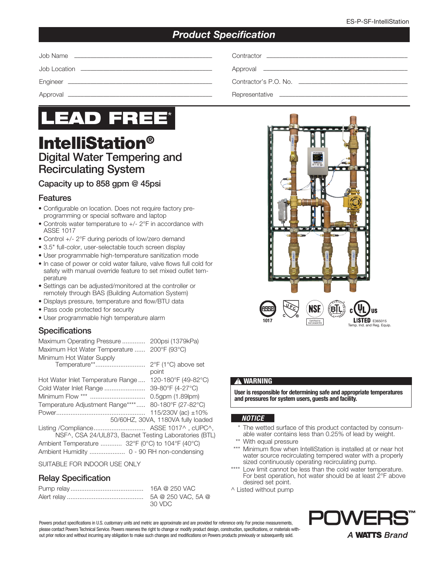## *Product Specification*



# IntelliStation® Digital Water Tempering and Recirculating System

### Capacity up to 858 gpm @ 45psi

### Features

- Configurable on location. Does not require factory preprogramming or special software and laptop
- Controls water temperature to +/- 2°F in accordance with ASSE 1017
- Control +/- 2°F during periods of low/zero demand
- 3.5" full-color, user-selectable touch screen display
- User programmable high-temperature sanitization mode
- In case of power or cold water failure, valve flows full cold for safety with manual override feature to set mixed outlet temperature
- Settings can be adjusted/monitored at the controller or remotely through BAS (Building Automation System)
- Displays pressure, temperature and flow/BTU data
- Pass code protected for security
- User programmable high temperature alarm

### **Specifications**

| Maximum Operating Pressure                            | 200psi (1379kPa)                   |
|-------------------------------------------------------|------------------------------------|
| Maximum Hot Water Temperature  200°F (93°C)           |                                    |
| Minimum Hot Water Supply                              |                                    |
| Temperature**                                         | 2°F (1°C) above set                |
|                                                       | point                              |
| Hot Water Inlet Temperature Range                     | 120-180°F (49-82°C)                |
| Cold Water Inlet Range                                | 39-80°F (4-27°C)                   |
|                                                       | 0.5qpm (1.89lpm)                   |
| Temperature Adjustment Range****                      | 80-180°F (27-82°C)                 |
|                                                       | 115/230V (ac) ±10%                 |
|                                                       | 50/60HZ, 30VA, 1180VA fully loaded |
|                                                       |                                    |
| NSF^, CSA 24/UL873, Bacnet Testing Laboratories (BTL) |                                    |
| Ambient Temperature  32°F (0°C) to 104°F (40°C)       |                                    |
| Ambient Humidity  0 - 90 RH non-condensing            |                                    |

#### SUITABLE FOR INDOOR USE ONLY

### Relay Specification

| 16A @ 250 VAC                 |
|-------------------------------|
| 5A @ 250 VAC, 5A @<br>-30 VDC |



#### **!** WARNING

User is responsible for determining safe and appropriate temperatures and pressures for system users, guests and facility.

#### *NOTICE*

- The wetted surface of this product contacted by consumable water contains less than 0.25% of lead by weight.
- \*\* With equal pressure
- \*\*\* Minimum flow when IntelliStation is installed at or near hot water source recirculating tempered water with a properly sized continuously operating recirculating pump.
- \*\*\*\* Low limit cannot be less than the cold water temperature. For best operation, hot water should be at least 2°F above desired set point.
- ^ Listed without pump

Powers product specifications in U.S. customary units and metric are approximate and are provided for reference only. For precise measurements, please contact Powers Technical Service. Powers reserves the right to change or modify product design, construction, specifications, or materials without prior notice and without incurring any obligation to make such changes and modifications on Powers products previously or subsequently sold.

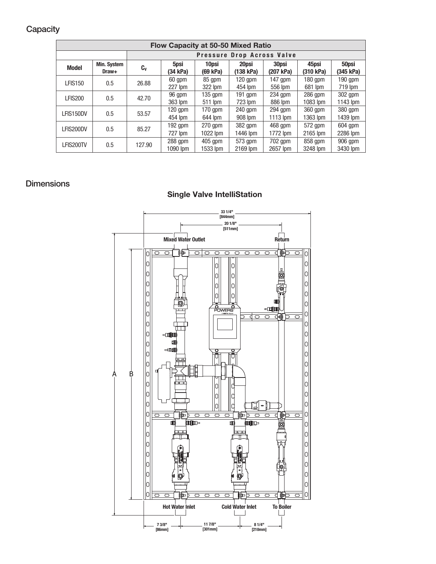## **Capacity**

| Flow Capacity at 50-50 Mixed Ratio |                            |         |             |            |              |           |           |            |  |
|------------------------------------|----------------------------|---------|-------------|------------|--------------|-----------|-----------|------------|--|
|                                    | Pressure Drop Across Valve |         |             |            |              |           |           |            |  |
| <b>Model</b>                       | Min. System                | $c_{v}$ | 5psi        | 10psi      | 20psi        | 30psi     | 45psi     | 50psi      |  |
|                                    | Draw+                      |         | $(34)$ kPa) | $(69$ kPa) | $(138)$ kPa) | (207 kPa) | (310 kPa) | (345 kPa)  |  |
| <b>LFIS150</b>                     | 0.5                        | 26.88   | 60 gpm      | 85 gpm     | $120$ apm    | $147$ gpm | $180$ gpm | $190$ qpm  |  |
|                                    |                            |         | 227 lpm     | 322 lpm    | 454 lpm      | 556 lpm   | 681 lpm   | 719 lpm    |  |
| LFIS200                            | 0.5                        | 42.70   | 96 gpm      | 135 qpm    | $191$ apm    | $234$ apm | $286$ gpm | 302 qpm    |  |
|                                    |                            |         | 363 lpm     | 511 lpm    | $723$ lpm    | 886 lpm   | 1083 lpm  | $1143$ lpm |  |
| LFIS150DV                          | 0.5                        | 53.57   | $120$ gpm   | $170$ gpm  | 240 gpm      | $294$ gpm | 360 qpm   | 380 gpm    |  |
|                                    |                            |         | 454 lpm     | 644 lpm    | 908 lpm      | 1113 lpm  | 1363 lpm  | 1439 lpm   |  |
| LFIS200DV                          | 0.5                        | 85.27   | $192$ gpm   | $270$ gpm  | 382 gpm      | $468$ qpm | 572 gpm   | $604$ gpm  |  |
|                                    |                            |         | 727 lpm     | $1022$ lpm | 1446 lpm     | 1772 lpm  | 2165 lpm  | 2286 lpm   |  |
| LFIS200TV                          | 0.5                        | 127.90  | $288$ gpm   | $405$ apm  | 573 gpm      | 702 qpm   | 858 gpm   | 906 qpm    |  |
|                                    |                            |         | 1090 lpm    | 1533 lpm   | 2169 lpm     | 2657 lpm  | 3248 lpm  | 3430 lpm   |  |

## **Dimensions**

## Single Valve IntelliStation

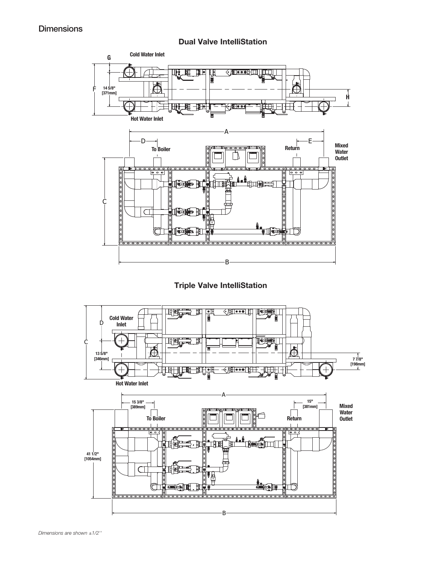### **Dimensions**



Triple Valve IntelliStation

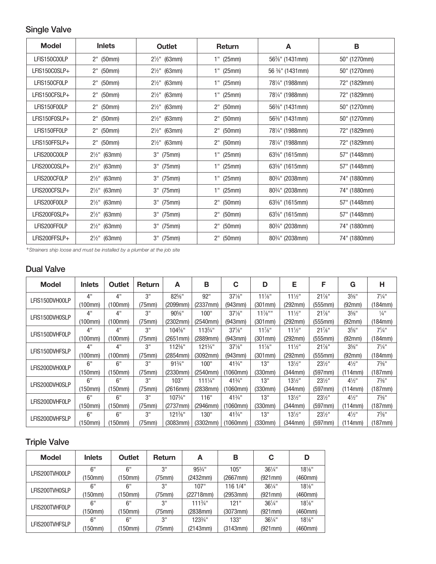## Single Valve

| <b>Model</b>  | <b>Inlets</b>           | Outlet                  | Return      | A                                         | в            |
|---------------|-------------------------|-------------------------|-------------|-------------------------------------------|--------------|
| LFIS150C00LP  | $2"$ (50mm)             | $2\frac{1}{2}$ " (63mm) | $1"$ (25mm) | 56 <sup>3</sup> / <sub>8</sub> " (1431mm) | 50" (1270mm) |
| LFIS150C0SLP+ | $2"$ (50mm)             | $2\frac{1}{2}$ " (63mm) | $1"$ (25mm) | 56 %" (1431mm)                            | 50" (1270mm) |
| LFIS150CF0LP  | $2"$ (50mm)             | $2\frac{1}{2}$ " (63mm) | $1"$ (25mm) | 781/ <sub>4</sub> " (1988mm)              | 72" (1829mm) |
| LFIS150CFSLP+ | $2"$ (50mm)             | $2\frac{1}{2}$ " (63mm) | $1"$ (25mm) | 781/4" (1988mm)                           | 72" (1829mm) |
| LFIS150F00LP  | $2"$ (50mm)             | $2\frac{1}{2}$ " (63mm) | $2"$ (50mm) | 56%" (1431mm)                             | 50" (1270mm) |
| LFIS150F0SLP+ | $2"$ (50mm)             | $2\frac{1}{2}$ " (63mm) | $2"$ (50mm) | 56%" (1431mm)                             | 50" (1270mm) |
| LFIS150FF0LP  | $2"$ (50mm)             | $2\frac{1}{2}$ " (63mm) | $2"$ (50mm) | 781/4" (1988mm)                           | 72" (1829mm) |
| LFIS150FFSLP+ | $2"$ (50mm)             | $2\frac{1}{2}$ " (63mm) | 2" (50mm)   | 781/4" (1988mm)                           | 72" (1829mm) |
| LFIS200C00LP  | $2\frac{1}{2}$ " (63mm) | $3''$ (75mm)            | $1"$ (25mm) | 63%" (1615mm)                             | 57" (1448mm) |
| LFIS200C0SLP+ | $2\frac{1}{2}$ " (63mm) | 3" (75mm)               | $1"$ (25mm) | 63%" (1615mm)                             | 57" (1448mm) |
| LFIS200CF0LP  | $2\frac{1}{2}$ " (63mm) | 3" (75mm)               | $1"$ (25mm) | 803/4" (2038mm)                           | 74" (1880mm) |
| LFIS200CFSLP+ | $2\frac{1}{2}$ " (63mm) | $3''$ (75mm)            | $1"$ (25mm) | 80 <sup>3</sup> / <sub>4</sub> " (2038mm) | 74" (1880mm) |
| LFIS200F00LP  | $2\frac{1}{2}$ " (63mm) | 3" (75mm)               | 2" (50mm)   | 63%" (1615mm)                             | 57" (1448mm) |
| LFIS200F0SLP+ | $2\frac{1}{2}$ " (63mm) | 3" (75mm)               | 2" (50mm)   | 63%" (1615mm)                             | 57" (1448mm) |
| LFIS200FF0LP  | $2\frac{1}{2}$ " (63mm) | $3''$ (75mm)            | 2" (50mm)   | 803/4" (2038mm)                           | 74" (1880mm) |
| LFIS200FFSLP+ | $2\frac{1}{2}$ " (63mm) | 3" (75mm)               | 2" (50mm)   | 80 <sup>3</sup> / <sub>4</sub> " (2038mm) | 74" (1880mm) |

*+Strainers ship loose and must be installed by a plumber at the job site*

## Dual Valve

| Model          | <b>Inlets</b> | Outlet  | <b>Return</b> | A                 | В                  | C                 | D         | Е                 | F                 | G                | н                           |
|----------------|---------------|---------|---------------|-------------------|--------------------|-------------------|-----------|-------------------|-------------------|------------------|-----------------------------|
| LFIS150DVH00LP | 4"            | 4"      | 3"            | 82%"              | 92"                | $37\%$ "          | $11\%$ "  | $11\frac{1}{2}$ " | $21\%$ "          | $3\%$ "          | $7\frac{1}{4}$ "            |
|                | (100mm)       | (100mm) | (75mm)        | (2099mm)          | (2337mm)           | (943mm)           | (301mm)   | (292mm)           | (555mm)           | (92mm)           | (184mm)                     |
| LFIS150DVH0SLP | 4"            | 4"      | 3"            | $90\%$ "          | 100"               | $37\frac{1}{8}$ " | $11\%$ "" | $11\frac{1}{2}$ " | $21\%$ "          | $3\%$ "          | $\frac{1}{4}$ <sup>11</sup> |
|                | (100mm)       | (100mm) | (75mm)        | (2302mm)          | (2540mm)           | (943mm)           | (301mm)   | (292mm)           | (555mm)           | (92mm)           | (184mm)                     |
| LFIS150DVHF0LP | 4"            | 4"      | 3"            | $104\%$ "         | $113\frac{3}{4}$ " | $37\frac{1}{8}$ " | $11\%$ "  | $11\frac{1}{2}$ " | $21\%$ "          | $3\%$ "          | $7^{1/4}$                   |
|                | (100mm)       | (100mm) | (75mm)        | (2651mm)          | (2889mm)           | (943mm)           | (301mm)   | (292mm)           | (555mm)           | (92mm)           | (184mm)                     |
| LFIS150DVHFSLP | 4"            | 4"      | 3"            | 112%"             | $121\frac{3}{4}$ " | $37\%$ "          | $11\%$ "  | $11\frac{1}{2}$ " | $21\%$ "          | $3\%$ "          | $7\frac{1}{4}$ "            |
|                | (100mm)       | (100mm) | (75mm)        | (2854mm)          | (3092mm)           | (943mm)           | (301mm)   | (292mm)           | (555mm)           | (92mm)           | (184mm)                     |
| LFIS200DVH00LP | 6"            | 6"      | 3"            | $91\frac{3}{4}$ " | 100"               | 413/4"            | 13"       | $13\frac{1}{2}$ " | $23\frac{1}{2}$ " | $4\frac{1}{2}$ " | $7\frac{3}{8}$ "            |
|                | (150mm)       | (150mm) | (75mm)        | (2330mm)          | (2540mm)           | (1060mm)          | (330mm)   | (344mm)           | (597mm)           | (114mm)          | (187mm)                     |
| LFIS200DVH0SLP | 6"            | 6"      | 3"            | 103"              | $111\frac{1}{4}$ " | 413/4"            | 13"       | $13\frac{1}{2}$ " | $23\frac{1}{2}$ " | $4\frac{1}{2}$ " | $7\frac{3}{8}$ "            |
|                | (150mm)       | (150mm) | (75mm)        | (2616mm)          | (2838mm)           | (1060mm)          | (330mm)   | (344mm)           | (597mm)           | (114mm)          | (187mm)                     |
| LFIS200DVHF0LP | 6"            | 6"      | 3"            | 1073/4"           | 116"               | 413/4"            | 13"       | $13\frac{1}{2}$ " | $23\frac{1}{2}$ " | $4\frac{1}{2}$ " | $7\frac{3}{8}$ "            |
|                | (150mm)       | (150mm) | (75mm)        | (2737mm)          | (2946mm)           | (1060mm)          | (330mm)   | (344mm)           | (597mm)           | (114mm)          | (187mm)                     |
| LFIS200DVHFSLP | 6"            | 6"      | 3"            | 121%"             | 130"               | 413/4"            | 13"       | $13\frac{1}{2}$ " | $23\frac{1}{2}$ " | $4\frac{1}{2}$ " | $7\%$ "                     |
|                | (150mm)       | (150mm) | (75mm)        | (3083mm)          | (3302mm)           | (1060mm)          | (330mm)   | (344mm)           | (597mm)           | (114mm)          | (187mm)                     |

## Triple Valve

| <b>Model</b>   | <b>Inlets</b> | <b>Outlet</b> | <b>Return</b> | А                  | В        | С                 | D        |
|----------------|---------------|---------------|---------------|--------------------|----------|-------------------|----------|
| LFIS200TVH00LP | 6"            | 6"            | 3"            | $95\frac{3}{4}$ "  | 105"     | $36\frac{1}{4}$ " | $18\%$ " |
|                | (150mm)       | (150mm)       | (75mm)        | (2432mm)           | (2667mm) | (921mm)           | (460mm)  |
| LFIS200TVH0SLP | 6"            | 6"            | 3"            | 107"               | 116 1/4" | $36\frac{1}{4}$ " | $18\%$ " |
|                | (150mm)       | (150mm)       | (75mm)        | (22718mm)          | (2953mm) | (921 mm)          | (460mm)  |
| LFIS200TVHF0LP | 6"            | 6"            | 3"            | $111\frac{3}{4}$ " | 121"     | $36\frac{1}{4}$ " | $18\%$ " |
|                | (150mm)       | (150mm)       | (75mm)        | (2838mm)           | (3073mm) | (921mm)           | (460mm)  |
| LFIS200TVHFSLP | 6"            | 6"            | 3"            | 123¾"              | 133"     | $36\frac{1}{4}$ " | $18\%$ " |
|                | (150mm)       | (150mm)       | (75mm)        | (2143mm)           | (3143mm) | (921mm)           | (460mm)  |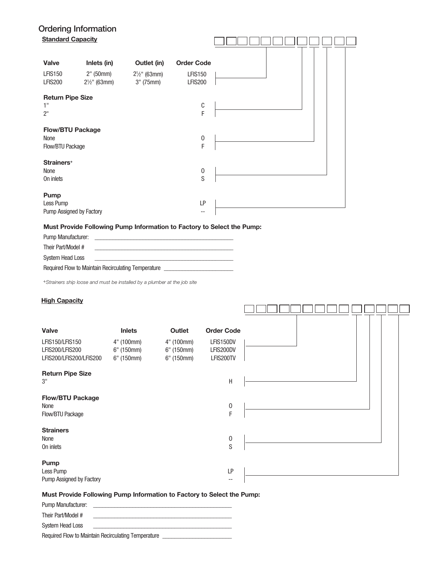### Ordering Information Standard Capacity

| <b>Standard Capacity</b> |                         |                         |                   |  |
|--------------------------|-------------------------|-------------------------|-------------------|--|
|                          |                         |                         |                   |  |
| <b>Valve</b>             | Inlets (in)             | Outlet (in)             | <b>Order Code</b> |  |
| <b>LFIS150</b>           | $2"$ (50mm)             | $2\frac{1}{2}$ " (63mm) | <b>LFIS150</b>    |  |
| <b>LFIS200</b>           | $2\frac{1}{2}$ " (63mm) | $3''$ (75mm)            | <b>LFIS200</b>    |  |
| <b>Return Pipe Size</b>  |                         |                         |                   |  |
| 1"                       |                         |                         | $\mathbb{C}$      |  |
| 2 <sup>11</sup>          |                         |                         | F                 |  |
| <b>Flow/BTU Package</b>  |                         |                         |                   |  |
| None                     |                         |                         | $\boldsymbol{0}$  |  |
| Flow/BTU Package         |                         |                         | F                 |  |
| Strainers <sup>+</sup>   |                         |                         |                   |  |
| None                     |                         |                         | 0                 |  |
| On inlets                |                         |                         | S                 |  |
| Pump                     |                         |                         |                   |  |
| Less Pump                |                         |                         | LP                |  |
| Pump Assigned by Factory |                         |                         | $\qquad \qquad -$ |  |

#### Must Provide Following Pump Information to Factory to Select the Pump:

| <b>Pump Manufacturer:</b> |                                                     |
|---------------------------|-----------------------------------------------------|
| Their Part/Model #        |                                                     |
| System Head Loss          |                                                     |
|                           | Required Flow to Maintain Recirculating Temperature |

*+Strainers ship loose and must be installed by a plumber at the job site*

#### **High Capacity**

| Valve                                                         | <b>Inlets</b>                          | Outlet                                     | <b>Order Code</b>                   |  |
|---------------------------------------------------------------|----------------------------------------|--------------------------------------------|-------------------------------------|--|
| LFIS150/LFIS150<br>LFIS200/LFIS200<br>LFIS200/LFIS200/LFIS200 | 4" (100mm)<br>6" (150mm)<br>6" (150mm) | 4" (100mm)<br>$6"$ (150mm)<br>$6"$ (150mm) | LFIS150DV<br>LFIS200DV<br>LFIS200TV |  |
| <b>Return Pipe Size</b><br>3"                                 |                                        |                                            | $\sf H$                             |  |
| <b>Flow/BTU Package</b><br>None<br>Flow/BTU Package           |                                        |                                            | $\boldsymbol{0}$<br>F               |  |
| <b>Strainers</b><br>None<br>On inlets                         |                                        |                                            | $\boldsymbol{0}$<br>S               |  |
| Pump<br>Less Pump<br>Pump Assigned by Factory                 |                                        |                                            | LP<br>$\qquad \qquad -$             |  |

#### Must Provide Following Pump Information to Factory to Select the Pump:

| <b>Pump Manufacturer:</b>                           | the control of the control of the |  |
|-----------------------------------------------------|-----------------------------------|--|
| Their Part/Model #                                  |                                   |  |
| System Head Loss                                    |                                   |  |
| Required Flow to Maintain Recirculating Temperature |                                   |  |